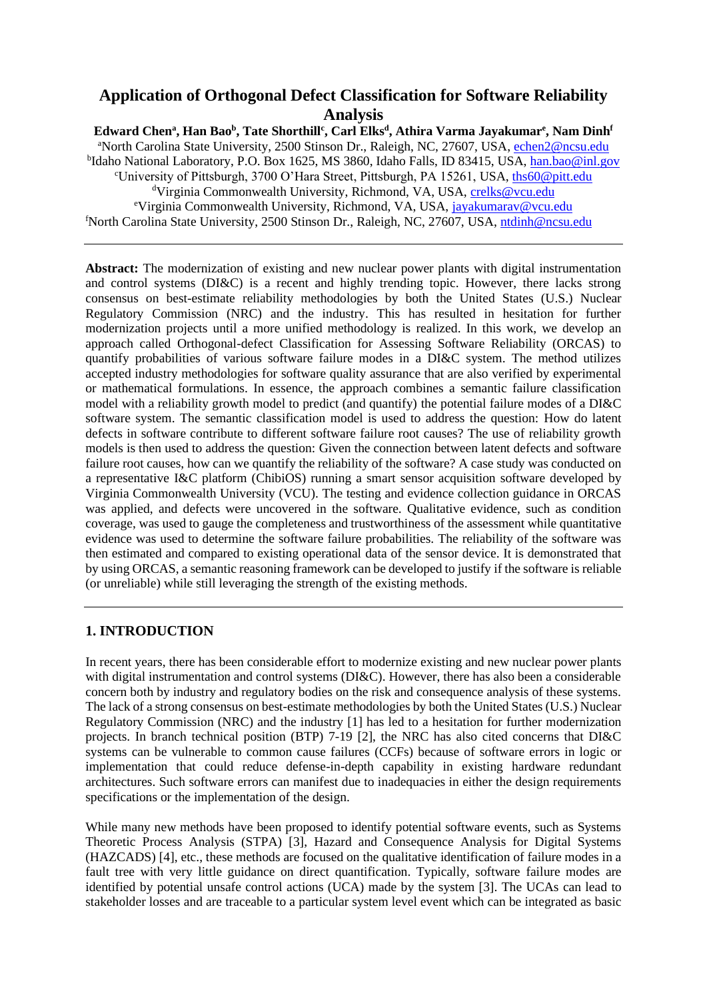# **Application of Orthogonal Defect Classification for Software Reliability Analysis**

**Edward Chen<sup>a</sup> , Han Bao<sup>b</sup> , Tate Shorthill<sup>c</sup> , Carl Elks<sup>d</sup> , Athira Varma Jayakumar<sup>e</sup> , Nam Dinh<sup>f</sup>** <sup>a</sup>North Carolina State University, 2500 Stinson Dr., Raleigh, NC, 27607, USA[, echen2@ncsu.edu](mailto:echen2@ncsu.edu) <sup>b</sup>Idaho National Laboratory, P.O. Box 1625, MS 3860, Idaho Falls, ID 83415, USA, <u>han.bao@inl.gov</u> <sup>c</sup>University of Pittsburgh, 3700 O'Hara Street, Pittsburgh, PA 15261, USA, [ths60@pitt.edu](mailto:ths60@pitt.edu) <sup>d</sup>Virginia Commonwealth University, Richmond, VA, USA, [crelks@vcu.edu](mailto:crelks@vcu.edu) <sup>e</sup>Virginia Commonwealth University, Richmond, VA, USA, jayakumarav@vcu.edu <sup>f</sup>North Carolina State University, 2500 Stinson Dr., Raleigh, NC, 27607, USA, [ntdinh@ncsu.edu](mailto:ntdinh@ncsu.edu)

**Abstract:** The modernization of existing and new nuclear power plants with digital instrumentation and control systems (DI&C) is a recent and highly trending topic. However, there lacks strong consensus on best-estimate reliability methodologies by both the United States (U.S.) Nuclear Regulatory Commission (NRC) and the industry. This has resulted in hesitation for further modernization projects until a more unified methodology is realized. In this work, we develop an approach called Orthogonal-defect Classification for Assessing Software Reliability (ORCAS) to quantify probabilities of various software failure modes in a DI&C system. The method utilizes accepted industry methodologies for software quality assurance that are also verified by experimental or mathematical formulations. In essence, the approach combines a semantic failure classification model with a reliability growth model to predict (and quantify) the potential failure modes of a DI&C software system. The semantic classification model is used to address the question: How do latent defects in software contribute to different software failure root causes? The use of reliability growth models is then used to address the question: Given the connection between latent defects and software failure root causes, how can we quantify the reliability of the software? A case study was conducted on a representative I&C platform (ChibiOS) running a smart sensor acquisition software developed by Virginia Commonwealth University (VCU). The testing and evidence collection guidance in ORCAS was applied, and defects were uncovered in the software. Qualitative evidence, such as condition coverage, was used to gauge the completeness and trustworthiness of the assessment while quantitative evidence was used to determine the software failure probabilities. The reliability of the software was then estimated and compared to existing operational data of the sensor device. It is demonstrated that by using ORCAS, a semantic reasoning framework can be developed to justify if the software is reliable (or unreliable) while still leveraging the strength of the existing methods.

# **1. INTRODUCTION**

In recent years, there has been considerable effort to modernize existing and new nuclear power plants with digital instrumentation and control systems (DI&C). However, there has also been a considerable concern both by industry and regulatory bodies on the risk and consequence analysis of these systems. The lack of a strong consensus on best-estimate methodologies by both the United States (U.S.) Nuclear Regulatory Commission (NRC) and the industry [1] has led to a hesitation for further modernization projects. In branch technical position (BTP) 7-19 [2], the NRC has also cited concerns that DI&C systems can be vulnerable to common cause failures (CCFs) because of software errors in logic or implementation that could reduce defense-in-depth capability in existing hardware redundant architectures. Such software errors can manifest due to inadequacies in either the design requirements specifications or the implementation of the design.

While many new methods have been proposed to identify potential software events, such as Systems Theoretic Process Analysis (STPA) [3], Hazard and Consequence Analysis for Digital Systems (HAZCADS) [4], etc., these methods are focused on the qualitative identification of failure modes in a fault tree with very little guidance on direct quantification. Typically, software failure modes are identified by potential unsafe control actions (UCA) made by the system [3]. The UCAs can lead to stakeholder losses and are traceable to a particular system level event which can be integrated as basic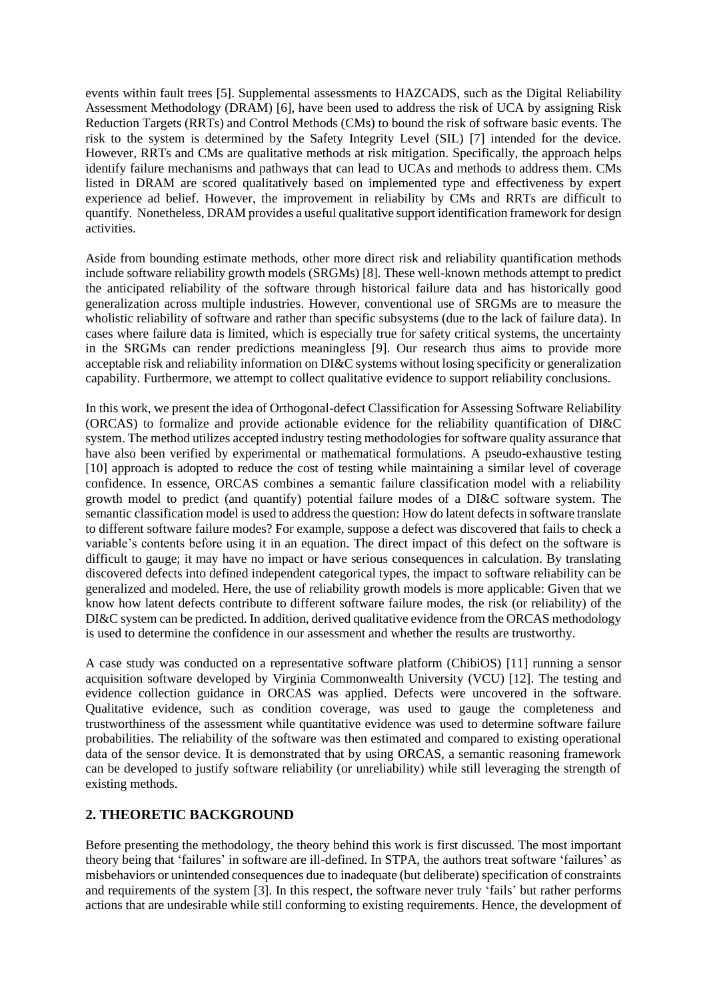events within fault trees [5]. Supplemental assessments to HAZCADS, such as the Digital Reliability Assessment Methodology (DRAM) [6], have been used to address the risk of UCA by assigning Risk Reduction Targets (RRTs) and Control Methods (CMs) to bound the risk of software basic events. The risk to the system is determined by the Safety Integrity Level (SIL) [7] intended for the device. However, RRTs and CMs are qualitative methods at risk mitigation. Specifically, the approach helps identify failure mechanisms and pathways that can lead to UCAs and methods to address them. CMs listed in DRAM are scored qualitatively based on implemented type and effectiveness by expert experience ad belief. However, the improvement in reliability by CMs and RRTs are difficult to quantify. Nonetheless, DRAM provides a useful qualitative support identification framework for design activities.

Aside from bounding estimate methods, other more direct risk and reliability quantification methods include software reliability growth models (SRGMs) [8]. These well-known methods attempt to predict the anticipated reliability of the software through historical failure data and has historically good generalization across multiple industries. However, conventional use of SRGMs are to measure the wholistic reliability of software and rather than specific subsystems (due to the lack of failure data). In cases where failure data is limited, which is especially true for safety critical systems, the uncertainty in the SRGMs can render predictions meaningless [9]. Our research thus aims to provide more acceptable risk and reliability information on DI&C systems without losing specificity or generalization capability. Furthermore, we attempt to collect qualitative evidence to support reliability conclusions.

In this work, we present the idea of Orthogonal-defect Classification for Assessing Software Reliability (ORCAS) to formalize and provide actionable evidence for the reliability quantification of DI&C system. The method utilizes accepted industry testing methodologies for software quality assurance that have also been verified by experimental or mathematical formulations. A pseudo-exhaustive testing [10] approach is adopted to reduce the cost of testing while maintaining a similar level of coverage confidence. In essence, ORCAS combines a semantic failure classification model with a reliability growth model to predict (and quantify) potential failure modes of a DI&C software system. The semantic classification model is used to address the question: How do latent defects in software translate to different software failure modes? For example, suppose a defect was discovered that fails to check a variable's contents before using it in an equation. The direct impact of this defect on the software is difficult to gauge; it may have no impact or have serious consequences in calculation. By translating discovered defects into defined independent categorical types, the impact to software reliability can be generalized and modeled. Here, the use of reliability growth models is more applicable: Given that we know how latent defects contribute to different software failure modes, the risk (or reliability) of the DI&C system can be predicted. In addition, derived qualitative evidence from the ORCAS methodology is used to determine the confidence in our assessment and whether the results are trustworthy.

A case study was conducted on a representative software platform (ChibiOS) [11] running a sensor acquisition software developed by Virginia Commonwealth University (VCU) [12]. The testing and evidence collection guidance in ORCAS was applied. Defects were uncovered in the software. Qualitative evidence, such as condition coverage, was used to gauge the completeness and trustworthiness of the assessment while quantitative evidence was used to determine software failure probabilities. The reliability of the software was then estimated and compared to existing operational data of the sensor device. It is demonstrated that by using ORCAS, a semantic reasoning framework can be developed to justify software reliability (or unreliability) while still leveraging the strength of existing methods.

# **2. THEORETIC BACKGROUND**

Before presenting the methodology, the theory behind this work is first discussed. The most important theory being that 'failures' in software are ill-defined. In STPA, the authors treat software 'failures' as misbehaviors or unintended consequences due to inadequate (but deliberate) specification of constraints and requirements of the system [3]. In this respect, the software never truly 'fails' but rather performs actions that are undesirable while still conforming to existing requirements. Hence, the development of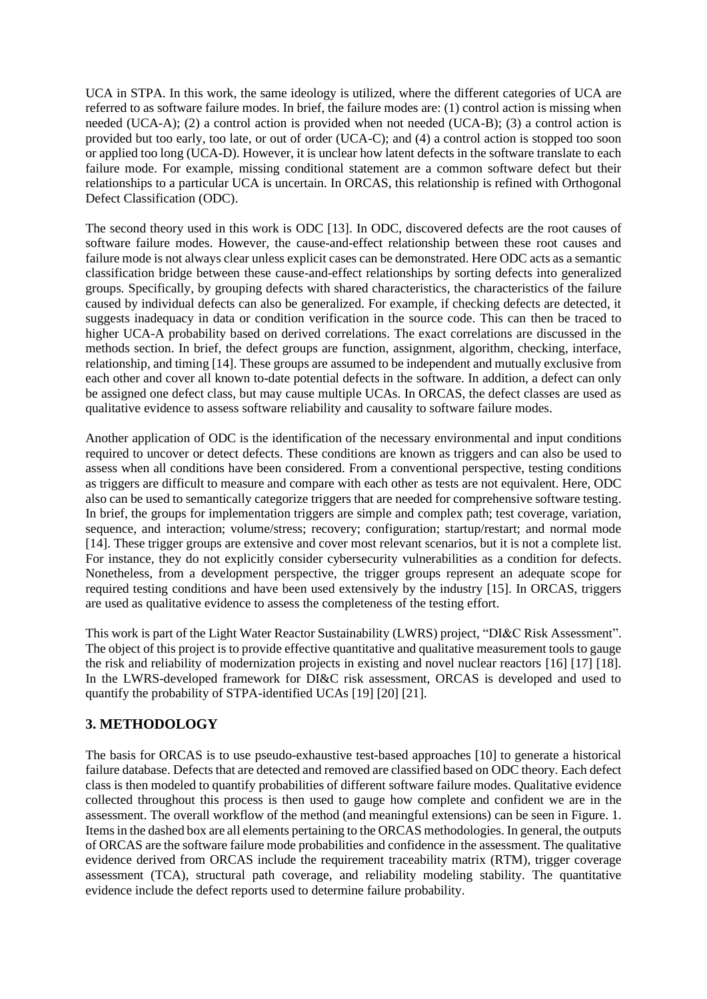UCA in STPA. In this work, the same ideology is utilized, where the different categories of UCA are referred to as software failure modes. In brief, the failure modes are: (1) control action is missing when needed (UCA-A); (2) a control action is provided when not needed (UCA-B); (3) a control action is provided but too early, too late, or out of order (UCA-C); and (4) a control action is stopped too soon or applied too long (UCA-D). However, it is unclear how latent defects in the software translate to each failure mode. For example, missing conditional statement are a common software defect but their relationships to a particular UCA is uncertain. In ORCAS, this relationship is refined with Orthogonal Defect Classification (ODC).

The second theory used in this work is ODC [13]. In ODC, discovered defects are the root causes of software failure modes. However, the cause-and-effect relationship between these root causes and failure mode is not always clear unless explicit cases can be demonstrated. Here ODC acts as a semantic classification bridge between these cause-and-effect relationships by sorting defects into generalized groups. Specifically, by grouping defects with shared characteristics, the characteristics of the failure caused by individual defects can also be generalized. For example, if checking defects are detected, it suggests inadequacy in data or condition verification in the source code. This can then be traced to higher UCA-A probability based on derived correlations. The exact correlations are discussed in the methods section. In brief, the defect groups are function, assignment, algorithm, checking, interface, relationship, and timing [14]. These groups are assumed to be independent and mutually exclusive from each other and cover all known to-date potential defects in the software. In addition, a defect can only be assigned one defect class, but may cause multiple UCAs. In ORCAS, the defect classes are used as qualitative evidence to assess software reliability and causality to software failure modes.

Another application of ODC is the identification of the necessary environmental and input conditions required to uncover or detect defects. These conditions are known as triggers and can also be used to assess when all conditions have been considered. From a conventional perspective, testing conditions as triggers are difficult to measure and compare with each other as tests are not equivalent. Here, ODC also can be used to semantically categorize triggers that are needed for comprehensive software testing. In brief, the groups for implementation triggers are simple and complex path; test coverage, variation, sequence, and interaction; volume/stress; recovery; configuration; startup/restart; and normal mode [14]. These trigger groups are extensive and cover most relevant scenarios, but it is not a complete list. For instance, they do not explicitly consider cybersecurity vulnerabilities as a condition for defects. Nonetheless, from a development perspective, the trigger groups represent an adequate scope for required testing conditions and have been used extensively by the industry [15]. In ORCAS, triggers are used as qualitative evidence to assess the completeness of the testing effort.

This work is part of the Light Water Reactor Sustainability (LWRS) project, "DI&C Risk Assessment". The object of this project is to provide effective quantitative and qualitative measurement tools to gauge the risk and reliability of modernization projects in existing and novel nuclear reactors [16] [17] [18]. In the LWRS-developed framework for DI&C risk assessment, ORCAS is developed and used to quantify the probability of STPA-identified UCAs [19] [20] [21].

# **3. METHODOLOGY**

The basis for ORCAS is to use pseudo-exhaustive test-based approaches [10] to generate a historical failure database. Defects that are detected and removed are classified based on ODC theory. Each defect class is then modeled to quantify probabilities of different software failure modes. Qualitative evidence collected throughout this process is then used to gauge how complete and confident we are in the assessment. The overall workflow of the method (and meaningful extensions) can be seen in [Figure. 1.](#page-3-0) Items in the dashed box are all elements pertaining to the ORCAS methodologies. In general, the outputs of ORCAS are the software failure mode probabilities and confidence in the assessment. The qualitative evidence derived from ORCAS include the requirement traceability matrix (RTM), trigger coverage assessment (TCA), structural path coverage, and reliability modeling stability. The quantitative evidence include the defect reports used to determine failure probability.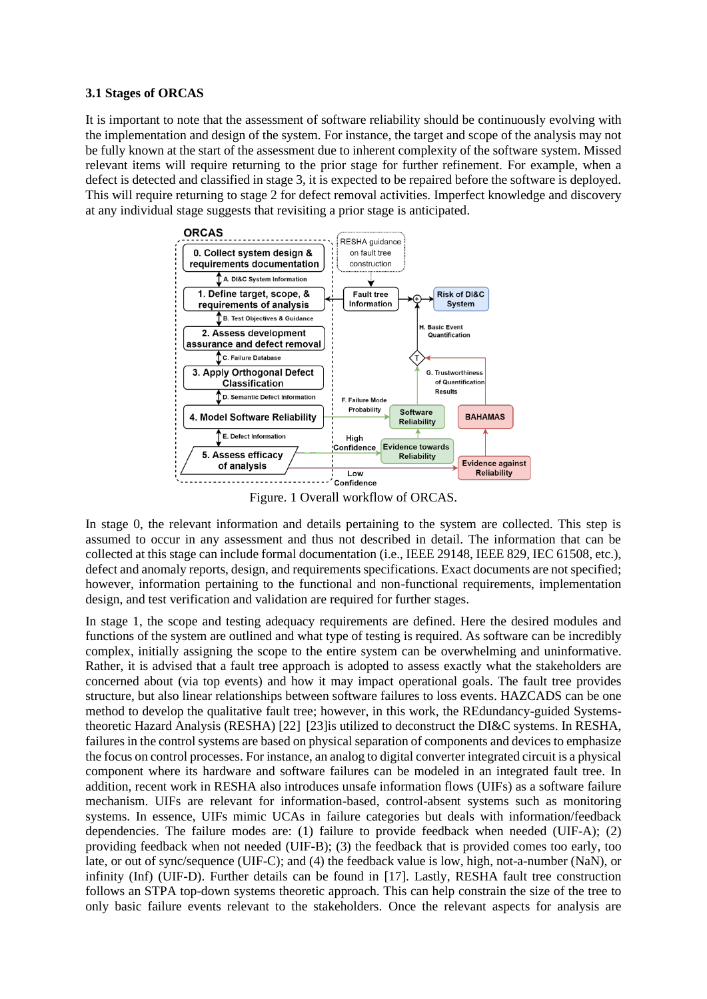#### **3.1 Stages of ORCAS**

It is important to note that the assessment of software reliability should be continuously evolving with the implementation and design of the system. For instance, the target and scope of the analysis may not be fully known at the start of the assessment due to inherent complexity of the software system. Missed relevant items will require returning to the prior stage for further refinement. For example, when a defect is detected and classified in stage 3, it is expected to be repaired before the software is deployed. This will require returning to stage 2 for defect removal activities. Imperfect knowledge and discovery at any individual stage suggests that revisiting a prior stage is anticipated.



Figure. 1 Overall workflow of ORCAS.

<span id="page-3-0"></span>In stage 0, the relevant information and details pertaining to the system are collected. This step is assumed to occur in any assessment and thus not described in detail. The information that can be collected at this stage can include formal documentation (i.e., IEEE 29148, IEEE 829, IEC 61508, etc.), defect and anomaly reports, design, and requirements specifications. Exact documents are not specified; however, information pertaining to the functional and non-functional requirements, implementation design, and test verification and validation are required for further stages.

In stage 1, the scope and testing adequacy requirements are defined. Here the desired modules and functions of the system are outlined and what type of testing is required. As software can be incredibly complex, initially assigning the scope to the entire system can be overwhelming and uninformative. Rather, it is advised that a fault tree approach is adopted to assess exactly what the stakeholders are concerned about (via top events) and how it may impact operational goals. The fault tree provides structure, but also linear relationships between software failures to loss events. HAZCADS can be one method to develop the qualitative fault tree; however, in this work, the REdundancy-guided Systemstheoretic Hazard Analysis (RESHA) [22] [23]is utilized to deconstruct the DI&C systems. In RESHA, failures in the control systems are based on physical separation of components and devices to emphasize the focus on control processes. For instance, an analog to digital converter integrated circuit is a physical component where its hardware and software failures can be modeled in an integrated fault tree. In addition, recent work in RESHA also introduces unsafe information flows (UIFs) as a software failure mechanism. UIFs are relevant for information-based, control-absent systems such as monitoring systems. In essence, UIFs mimic UCAs in failure categories but deals with information/feedback dependencies. The failure modes are: (1) failure to provide feedback when needed (UIF-A); (2) providing feedback when not needed (UIF-B); (3) the feedback that is provided comes too early, too late, or out of sync/sequence (UIF-C); and (4) the feedback value is low, high, not-a-number (NaN), or infinity (Inf) (UIF-D). Further details can be found in [17]. Lastly, RESHA fault tree construction follows an STPA top-down systems theoretic approach. This can help constrain the size of the tree to only basic failure events relevant to the stakeholders. Once the relevant aspects for analysis are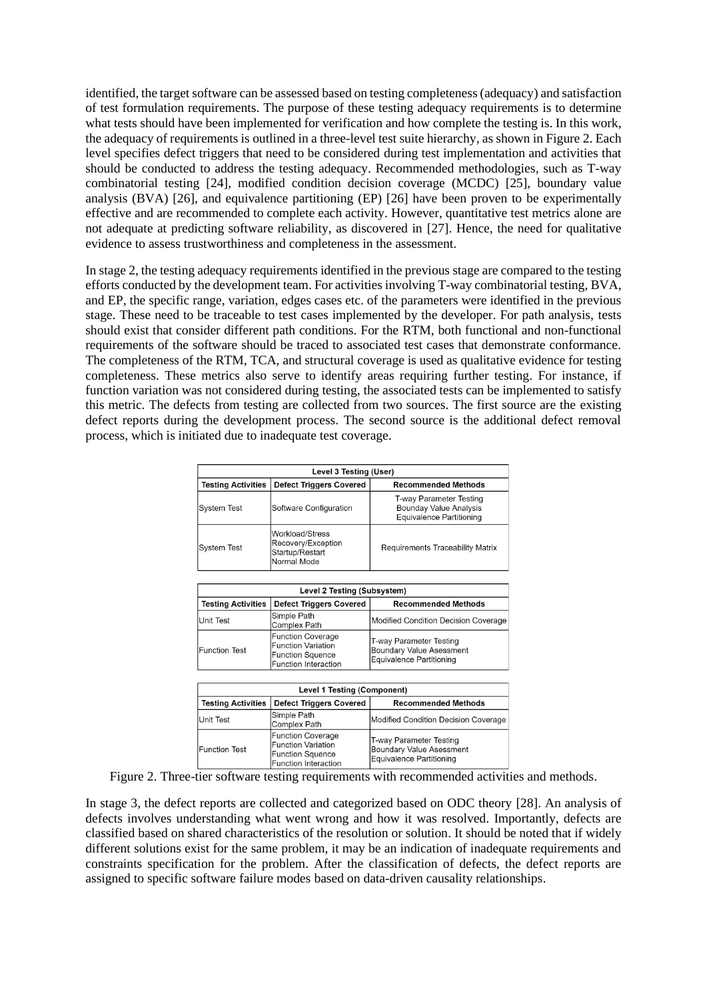identified, the target software can be assessed based on testing completeness(adequacy) and satisfaction of test formulation requirements. The purpose of these testing adequacy requirements is to determine what tests should have been implemented for verification and how complete the testing is. In this work, the adequacy of requirements is outlined in a three-level test suite hierarchy, as shown i[n Figure 2.](#page-4-0) Each level specifies defect triggers that need to be considered during test implementation and activities that should be conducted to address the testing adequacy. Recommended methodologies, such as T-way combinatorial testing [24], modified condition decision coverage (MCDC) [25], boundary value analysis (BVA) [26], and equivalence partitioning (EP) [26] have been proven to be experimentally effective and are recommended to complete each activity. However, quantitative test metrics alone are not adequate at predicting software reliability, as discovered in [27]. Hence, the need for qualitative evidence to assess trustworthiness and completeness in the assessment.

In stage 2, the testing adequacy requirements identified in the previous stage are compared to the testing efforts conducted by the development team. For activities involving T-way combinatorial testing, BVA, and EP, the specific range, variation, edges cases etc. of the parameters were identified in the previous stage. These need to be traceable to test cases implemented by the developer. For path analysis, tests should exist that consider different path conditions. For the RTM, both functional and non-functional requirements of the software should be traced to associated test cases that demonstrate conformance. The completeness of the RTM, TCA, and structural coverage is used as qualitative evidence for testing completeness. These metrics also serve to identify areas requiring further testing. For instance, if function variation was not considered during testing, the associated tests can be implemented to satisfy this metric. The defects from testing are collected from two sources. The first source are the existing defect reports during the development process. The second source is the additional defect removal process, which is initiated due to inadequate test coverage.

| Level 3 Testing (User)    |                                                                         |                                                                                      |  |  |
|---------------------------|-------------------------------------------------------------------------|--------------------------------------------------------------------------------------|--|--|
| <b>Testing Activities</b> | <b>Defect Triggers Covered</b>                                          | <b>Recommended Methods</b>                                                           |  |  |
| <b>System Test</b>        | Software Configuration                                                  | T-way Parameter Testing<br><b>Bounday Value Analysis</b><br>Equivalence Partitioning |  |  |
| <b>System Test</b>        | Workload/Stress<br>Recovery/Exception<br>Startup/Restart<br>Normal Mode | Requirements Traceability Matrix                                                     |  |  |

| Level 2 Testing (Subsystem) |                                                                                                          |                                                                                 |  |  |
|-----------------------------|----------------------------------------------------------------------------------------------------------|---------------------------------------------------------------------------------|--|--|
| <b>Testing Activities</b>   | <b>Defect Triggers Covered</b>                                                                           | <b>Recommended Methods</b>                                                      |  |  |
| <b>Unit Test</b>            | Simple Path<br>Complex Path                                                                              | Modified Condition Decision Coverage                                            |  |  |
| <b>Function Test</b>        | <b>Function Coverage</b><br><b>Function Variation</b><br><b>Function Squence</b><br>Function Interaction | T-way Parameter Testing<br>Boundary Value Asessment<br>Equivalence Partitioning |  |  |

| <b>Level 1 Testing (Component)</b> |                                                                                                                 |                                                                                 |  |  |
|------------------------------------|-----------------------------------------------------------------------------------------------------------------|---------------------------------------------------------------------------------|--|--|
| <b>Testing Activities</b>          | <b>Defect Triggers Covered</b>                                                                                  | <b>Recommended Methods</b>                                                      |  |  |
| Unit Test                          | Simple Path<br>Complex Path                                                                                     | Modified Condition Decision Coverage                                            |  |  |
| <b>Function Test</b>               | <b>Function Coverage</b><br><b>Function Variation</b><br><b>Function Squence</b><br><b>Function Interaction</b> | T-way Parameter Testing<br>Boundary Value Asessment<br>Equivalence Partitioning |  |  |

<span id="page-4-0"></span> Figure 2. Three-tier software testing requirements with recommended activities and methods.

In stage 3, the defect reports are collected and categorized based on ODC theory [28]. An analysis of defects involves understanding what went wrong and how it was resolved. Importantly, defects are classified based on shared characteristics of the resolution or solution. It should be noted that if widely different solutions exist for the same problem, it may be an indication of inadequate requirements and constraints specification for the problem. After the classification of defects, the defect reports are assigned to specific software failure modes based on data-driven causality relationships.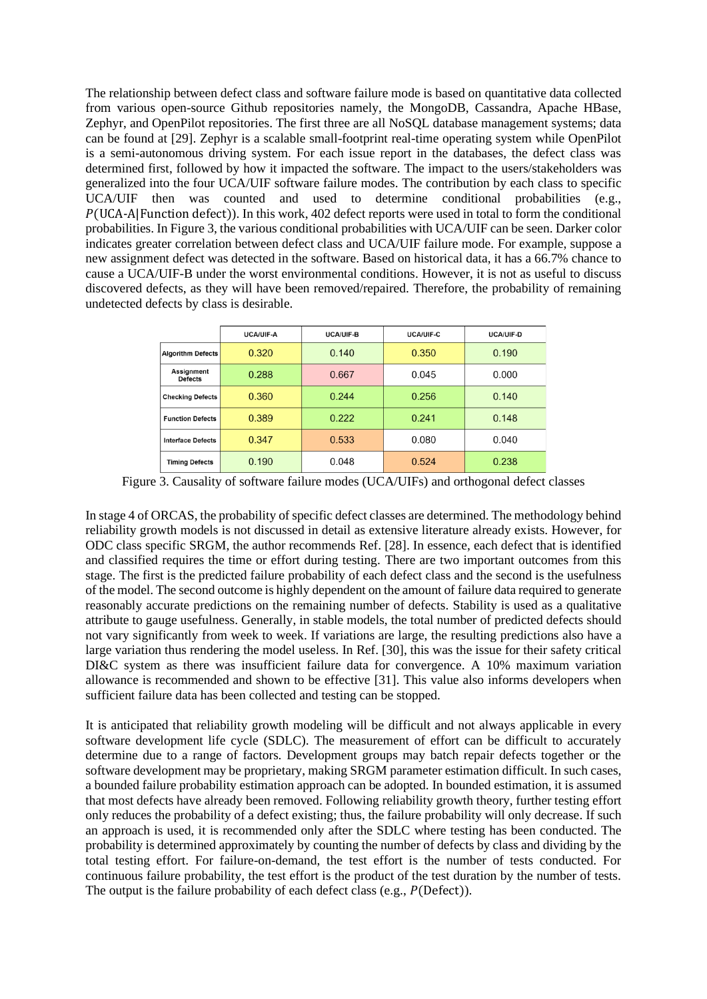The relationship between defect class and software failure mode is based on quantitative data collected from various open-source Github repositories namely, the MongoDB, Cassandra, Apache HBase, Zephyr, and OpenPilot repositories. The first three are all NoSQL database management systems; data can be found at [29]. Zephyr is a scalable small-footprint real-time operating system while OpenPilot is a semi-autonomous driving system. For each issue report in the databases, the defect class was determined first, followed by how it impacted the software. The impact to the users/stakeholders was generalized into the four UCA/UIF software failure modes. The contribution by each class to specific UCA/UIF then was counted and used to determine conditional probabilities (e.g.,  $P(UCA-A|Function defect))$ . In this work, 402 defect reports were used in total to form the conditional probabilities. I[n Figure 3,](#page-5-0) the various conditional probabilities with UCA/UIF can be seen. Darker color indicates greater correlation between defect class and UCA/UIF failure mode. For example, suppose a new assignment defect was detected in the software. Based on historical data, it has a 66.7% chance to cause a UCA/UIF-B under the worst environmental conditions. However, it is not as useful to discuss discovered defects, as they will have been removed/repaired. Therefore, the probability of remaining undetected defects by class is desirable.

|                              | UCA/UIF-A | <b>UCA/UIF-B</b> | <b>UCA/UIF-C</b> | UCA/UIF-D |
|------------------------------|-----------|------------------|------------------|-----------|
| <b>Algorithm Defects</b>     | 0.320     | 0.140            | 0.350            | 0.190     |
| Assignment<br><b>Defects</b> | 0.288     | 0.667            | 0.045            | 0.000     |
| <b>Checking Defects</b>      | 0.360     | 0.244            | 0.256            | 0.140     |
| <b>Function Defects</b>      | 0.389     | 0.222            | 0.241            | 0.148     |
| <b>Interface Defects</b>     | 0.347     | 0.533            | 0.080            | 0.040     |
| <b>Timing Defects</b>        | 0.190     | 0.048            | 0.524            | 0.238     |

Figure 3. Causality of software failure modes (UCA/UIFs) and orthogonal defect classes

<span id="page-5-0"></span>In stage 4 of ORCAS, the probability of specific defect classes are determined. The methodology behind reliability growth models is not discussed in detail as extensive literature already exists. However, for ODC class specific SRGM, the author recommends Ref. [28]. In essence, each defect that is identified and classified requires the time or effort during testing. There are two important outcomes from this stage. The first is the predicted failure probability of each defect class and the second is the usefulness of the model. The second outcome is highly dependent on the amount of failure data required to generate reasonably accurate predictions on the remaining number of defects. Stability is used as a qualitative attribute to gauge usefulness. Generally, in stable models, the total number of predicted defects should not vary significantly from week to week. If variations are large, the resulting predictions also have a large variation thus rendering the model useless. In Ref. [30], this was the issue for their safety critical DI&C system as there was insufficient failure data for convergence. A 10% maximum variation allowance is recommended and shown to be effective [31]. This value also informs developers when sufficient failure data has been collected and testing can be stopped.

It is anticipated that reliability growth modeling will be difficult and not always applicable in every software development life cycle (SDLC). The measurement of effort can be difficult to accurately determine due to a range of factors. Development groups may batch repair defects together or the software development may be proprietary, making SRGM parameter estimation difficult. In such cases, a bounded failure probability estimation approach can be adopted. In bounded estimation, it is assumed that most defects have already been removed. Following reliability growth theory, further testing effort only reduces the probability of a defect existing; thus, the failure probability will only decrease. If such an approach is used, it is recommended only after the SDLC where testing has been conducted. The probability is determined approximately by counting the number of defects by class and dividing by the total testing effort. For failure-on-demand, the test effort is the number of tests conducted. For continuous failure probability, the test effort is the product of the test duration by the number of tests. The output is the failure probability of each defect class (e.g.,  $P(\text{Defect})$ ).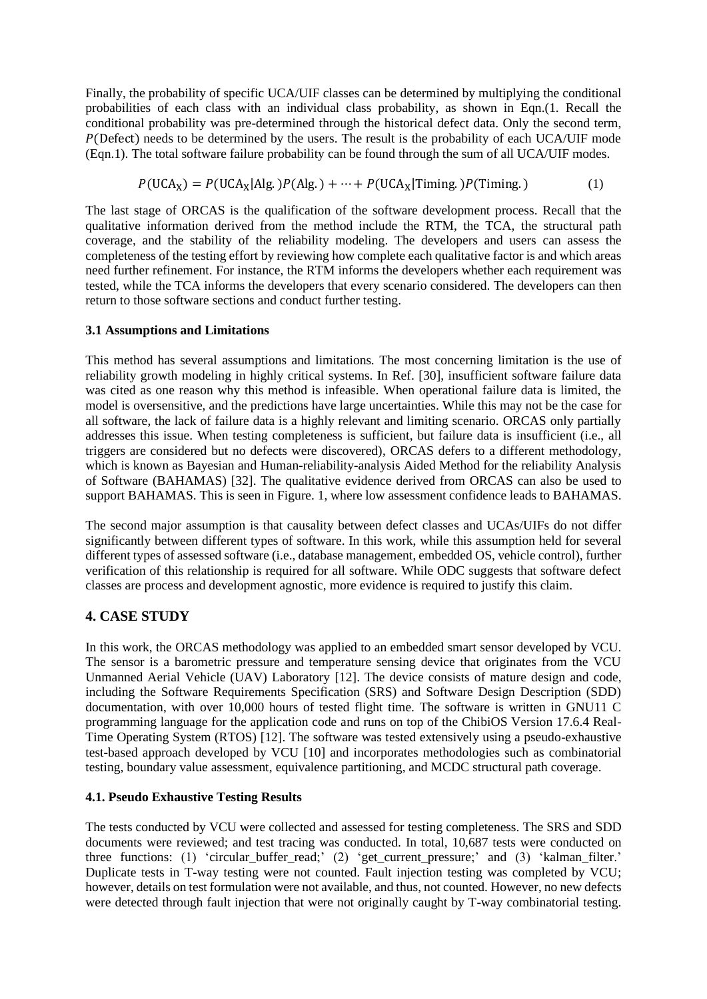Finally, the probability of specific UCA/UIF classes can be determined by multiplying the conditional probabilities of each class with an individual class probability, as shown in Eq[n.\(1.](#page-6-0) Recall the conditional probability was pre-determined through the historical defect data. Only the second term,  $P$ (Defect) needs to be determined by the users. The result is the probability of each UCA/UIF mode (Eqn.1). The total software failure probability can be found through the sum of all UCA/UIF modes.

<span id="page-6-0"></span>
$$
P(UCA_X) = P(UCA_X|Alg.)P(Alg.) + \dots + P(UCA_X|Timing.)P(Timing.)
$$
 (1)

The last stage of ORCAS is the qualification of the software development process. Recall that the qualitative information derived from the method include the RTM, the TCA, the structural path coverage, and the stability of the reliability modeling. The developers and users can assess the completeness of the testing effort by reviewing how complete each qualitative factor is and which areas need further refinement. For instance, the RTM informs the developers whether each requirement was tested, while the TCA informs the developers that every scenario considered. The developers can then return to those software sections and conduct further testing.

### **3.1 Assumptions and Limitations**

This method has several assumptions and limitations. The most concerning limitation is the use of reliability growth modeling in highly critical systems. In Ref. [30], insufficient software failure data was cited as one reason why this method is infeasible. When operational failure data is limited, the model is oversensitive, and the predictions have large uncertainties. While this may not be the case for all software, the lack of failure data is a highly relevant and limiting scenario. ORCAS only partially addresses this issue. When testing completeness is sufficient, but failure data is insufficient (i.e., all triggers are considered but no defects were discovered), ORCAS defers to a different methodology, which is known as Bayesian and Human-reliability-analysis Aided Method for the reliability Analysis of Software (BAHAMAS) [32]. The qualitative evidence derived from ORCAS can also be used to support BAHAMAS. This is seen in [Figure. 1,](#page-3-0) where low assessment confidence leads to BAHAMAS.

The second major assumption is that causality between defect classes and UCAs/UIFs do not differ significantly between different types of software. In this work, while this assumption held for several different types of assessed software (i.e., database management, embedded OS, vehicle control), further verification of this relationship is required for all software. While ODC suggests that software defect classes are process and development agnostic, more evidence is required to justify this claim.

## **4. CASE STUDY**

In this work, the ORCAS methodology was applied to an embedded smart sensor developed by VCU. The sensor is a barometric pressure and temperature sensing device that originates from the VCU Unmanned Aerial Vehicle (UAV) Laboratory [12]. The device consists of mature design and code, including the Software Requirements Specification (SRS) and Software Design Description (SDD) documentation, with over 10,000 hours of tested flight time. The software is written in GNU11 C programming language for the application code and runs on top of the ChibiOS Version 17.6.4 Real-Time Operating System (RTOS) [12]. The software was tested extensively using a pseudo-exhaustive test-based approach developed by VCU [10] and incorporates methodologies such as combinatorial testing, boundary value assessment, equivalence partitioning, and MCDC structural path coverage.

## **4.1. Pseudo Exhaustive Testing Results**

The tests conducted by VCU were collected and assessed for testing completeness. The SRS and SDD documents were reviewed; and test tracing was conducted. In total, 10,687 tests were conducted on three functions: (1) 'circular\_buffer\_read;' (2) 'get\_current\_pressure;' and (3) 'kalman\_filter.' Duplicate tests in T-way testing were not counted. Fault injection testing was completed by VCU; however, details on test formulation were not available, and thus, not counted. However, no new defects were detected through fault injection that were not originally caught by T-way combinatorial testing.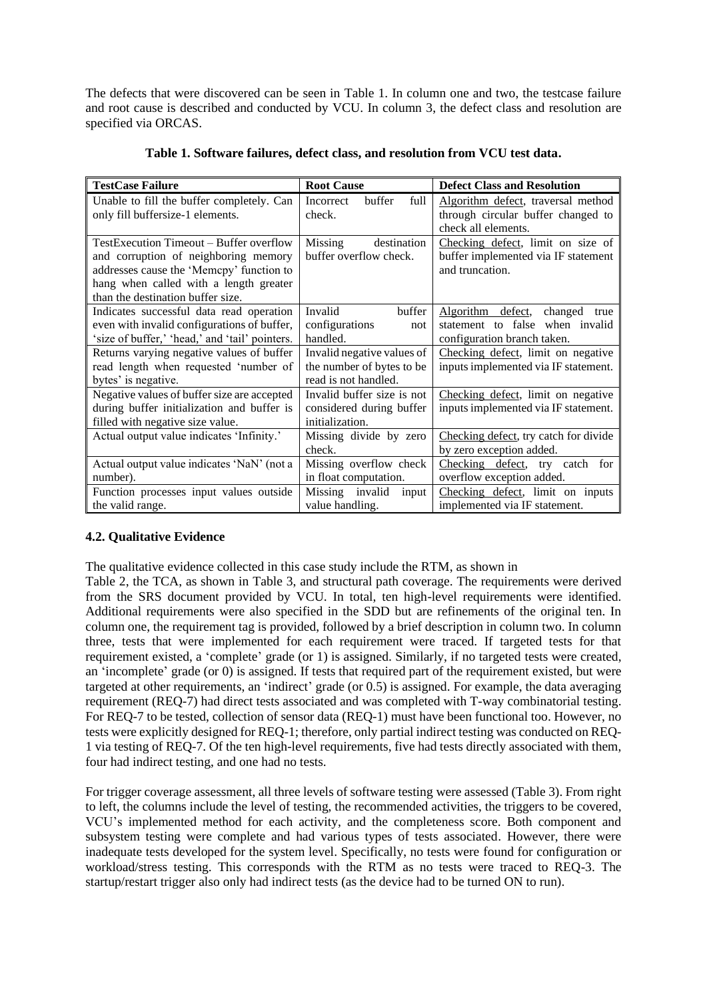The defects that were discovered can be seen in [Table 1.](#page-7-0) In column one and two, the testcase failure and root cause is described and conducted by VCU. In column 3, the defect class and resolution are specified via ORCAS.

<span id="page-7-0"></span>

| <b>TestCase Failure</b>                                                                                                                                                                                    | <b>Root Cause</b>                                                               | <b>Defect Class and Resolution</b>                                                                     |  |
|------------------------------------------------------------------------------------------------------------------------------------------------------------------------------------------------------------|---------------------------------------------------------------------------------|--------------------------------------------------------------------------------------------------------|--|
| Unable to fill the buffer completely. Can<br>only fill buffersize-1 elements.                                                                                                                              | buffer<br>full<br>Incorrect<br>check.                                           | Algorithm defect, traversal method<br>through circular buffer changed to<br>check all elements.        |  |
| TestExecution Timeout – Buffer overflow<br>and corruption of neighboring memory<br>addresses cause the 'Memcpy' function to<br>hang when called with a length greater<br>than the destination buffer size. | Missing<br>destination<br>buffer overflow check.                                | Checking defect, limit on size of<br>buffer implemented via IF statement<br>and truncation.            |  |
| Indicates successful data read operation<br>even with invalid configurations of buffer,<br>'size of buffer,' 'head,' and 'tail' pointers.                                                                  | Invalid<br>buffer<br>configurations<br>not<br>handled.                          | Algorithm defect,<br>changed<br>true<br>statement to false when invalid<br>configuration branch taken. |  |
| Returns varying negative values of buffer<br>read length when requested 'number of<br>bytes' is negative.                                                                                                  | Invalid negative values of<br>the number of bytes to be<br>read is not handled. | Checking defect, limit on negative<br>inputs implemented via IF statement.                             |  |
| Negative values of buffer size are accepted<br>during buffer initialization and buffer is<br>filled with negative size value.                                                                              | Invalid buffer size is not<br>considered during buffer<br>initialization.       | Checking defect, limit on negative<br>inputs implemented via IF statement.                             |  |
| Actual output value indicates 'Infinity.'                                                                                                                                                                  | Missing divide by zero<br>check.                                                | Checking defect, try catch for divide<br>by zero exception added.                                      |  |
| Actual output value indicates 'NaN' (not a<br>number).                                                                                                                                                     | Missing overflow check<br>in float computation.                                 | Checking defect, try catch for<br>overflow exception added.                                            |  |
| Function processes input values outside<br>the valid range.                                                                                                                                                | Missing invalid<br>input<br>value handling.                                     | Checking defect, limit on inputs<br>implemented via IF statement.                                      |  |

| Table 1. Software failures, defect class, and resolution from VCU test data. |  |  |
|------------------------------------------------------------------------------|--|--|
|                                                                              |  |  |

# **4.2. Qualitative Evidence**

The qualitative evidence collected in this case study include the RTM, as shown in

[Table 2,](#page-8-0) the TCA, as shown in [Table 3,](#page-9-0) and structural path coverage. The requirements were derived from the SRS document provided by VCU. In total, ten high-level requirements were identified. Additional requirements were also specified in the SDD but are refinements of the original ten. In column one, the requirement tag is provided, followed by a brief description in column two. In column three, tests that were implemented for each requirement were traced. If targeted tests for that requirement existed, a 'complete' grade (or 1) is assigned. Similarly, if no targeted tests were created, an 'incomplete' grade (or 0) is assigned. If tests that required part of the requirement existed, but were targeted at other requirements, an 'indirect' grade (or 0.5) is assigned. For example, the data averaging requirement (REQ-7) had direct tests associated and was completed with T-way combinatorial testing. For REQ-7 to be tested, collection of sensor data (REQ-1) must have been functional too. However, no tests were explicitly designed for REQ-1; therefore, only partial indirect testing was conducted on REQ-1 via testing of REQ-7. Of the ten high-level requirements, five had tests directly associated with them, four had indirect testing, and one had no tests.

For trigger coverage assessment, all three levels of software testing were assessed [\(Table 3\)](#page-9-0). From right to left, the columns include the level of testing, the recommended activities, the triggers to be covered, VCU's implemented method for each activity, and the completeness score. Both component and subsystem testing were complete and had various types of tests associated. However, there were inadequate tests developed for the system level. Specifically, no tests were found for configuration or workload/stress testing. This corresponds with the RTM as no tests were traced to REQ-3. The startup/restart trigger also only had indirect tests (as the device had to be turned ON to run).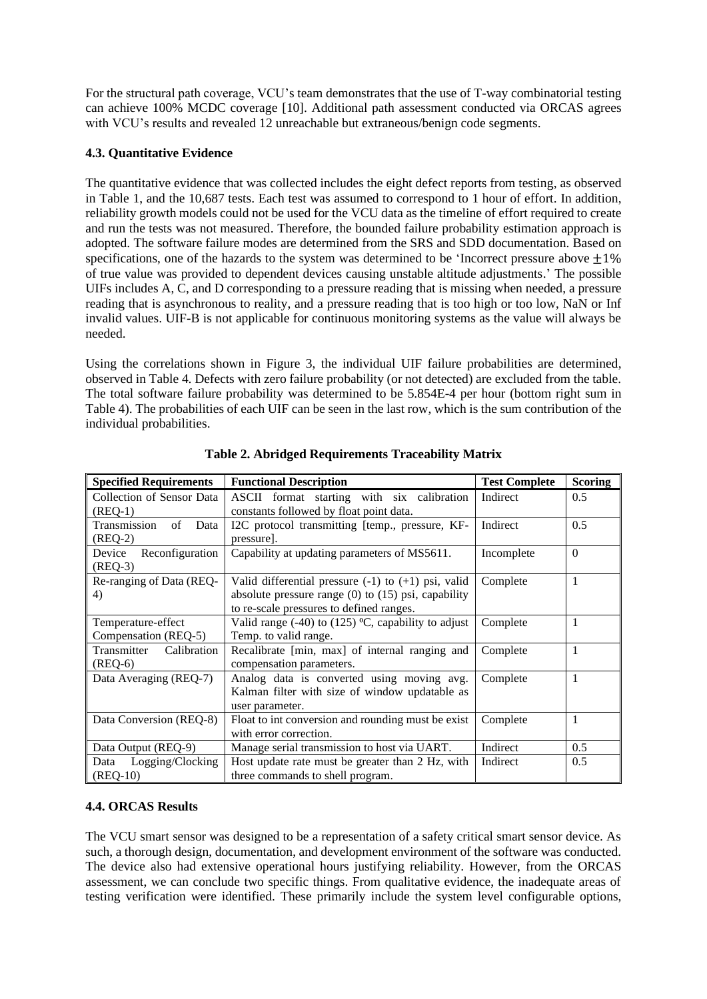For the structural path coverage, VCU's team demonstrates that the use of T-way combinatorial testing can achieve 100% MCDC coverage [10]. Additional path assessment conducted via ORCAS agrees with VCU's results and revealed 12 unreachable but extraneous/benign code segments.

### **4.3. Quantitative Evidence**

The quantitative evidence that was collected includes the eight defect reports from testing, as observed in [Table 1,](#page-7-0) and the 10,687 tests. Each test was assumed to correspond to 1 hour of effort. In addition, reliability growth models could not be used for the VCU data as the timeline of effort required to create and run the tests was not measured. Therefore, the bounded failure probability estimation approach is adopted. The software failure modes are determined from the SRS and SDD documentation. Based on specifications, one of the hazards to the system was determined to be 'Incorrect pressure above  $\pm 1\%$ of true value was provided to dependent devices causing unstable altitude adjustments.' The possible UIFs includes A, C, and D corresponding to a pressure reading that is missing when needed, a pressure reading that is asynchronous to reality, and a pressure reading that is too high or too low, NaN or Inf invalid values. UIF-B is not applicable for continuous monitoring systems as the value will always be needed.

Using the correlations shown in [Figure 3,](#page-5-0) the individual UIF failure probabilities are determined, observed i[n Table 4.](#page-9-1) Defects with zero failure probability (or not detected) are excluded from the table. The total software failure probability was determined to be 5.854E-4 per hour (bottom right sum in [Table 4\)](#page-9-1). The probabilities of each UIF can be seen in the last row, which is the sum contribution of the individual probabilities.

<span id="page-8-0"></span>

| <b>Specified Requirements</b> | <b>Functional Description</b>                           | <b>Test Complete</b> | <b>Scoring</b> |
|-------------------------------|---------------------------------------------------------|----------------------|----------------|
| Collection of Sensor Data     | ASCII format starting with six calibration              | Indirect             | 0.5            |
| $(REQ-1)$                     | constants followed by float point data.                 |                      |                |
| Transmission<br>of<br>Data    | I2C protocol transmitting [temp., pressure, KF-         | Indirect             | 0.5            |
| $(REQ-2)$                     | pressure].                                              |                      |                |
| Reconfiguration<br>Device     | Capability at updating parameters of MS5611.            | Incomplete           | $\Omega$       |
| $(REQ-3)$                     |                                                         |                      |                |
| Re-ranging of Data (REQ-      | Valid differential pressure $(-1)$ to $(+1)$ psi, valid | Complete             | 1              |
| 4)                            | absolute pressure range $(0)$ to $(15)$ psi, capability |                      |                |
|                               | to re-scale pressures to defined ranges.                |                      |                |
| Temperature-effect            | Valid range $(-40)$ to $(125)$ °C, capability to adjust | Complete             | 1              |
| Compensation (REQ-5)          |                                                         |                      |                |
| Transmitter Calibration       | Recalibrate [min, max] of internal ranging and          | Complete             | 1              |
| $(REQ-6)$                     | compensation parameters.                                |                      |                |
| Data Averaging (REQ-7)        | Analog data is converted using moving avg.              | Complete             | 1              |
|                               | Kalman filter with size of window updatable as          |                      |                |
|                               | user parameter.                                         |                      |                |
| Data Conversion (REQ-8)       | Float to int conversion and rounding must be exist      | Complete             | 1              |
|                               | with error correction.                                  |                      |                |
| Data Output (REQ-9)           | Manage serial transmission to host via UART.            | Indirect             | 0.5            |
| Logging/Clocking<br>Data      | Host update rate must be greater than 2 Hz, with        | Indirect             | 0.5            |
| $(REQ-10)$                    | three commands to shell program.                        |                      |                |

**Table 2. Abridged Requirements Traceability Matrix**

### **4.4. ORCAS Results**

The VCU smart sensor was designed to be a representation of a safety critical smart sensor device. As such, a thorough design, documentation, and development environment of the software was conducted. The device also had extensive operational hours justifying reliability. However, from the ORCAS assessment, we can conclude two specific things. From qualitative evidence, the inadequate areas of testing verification were identified. These primarily include the system level configurable options,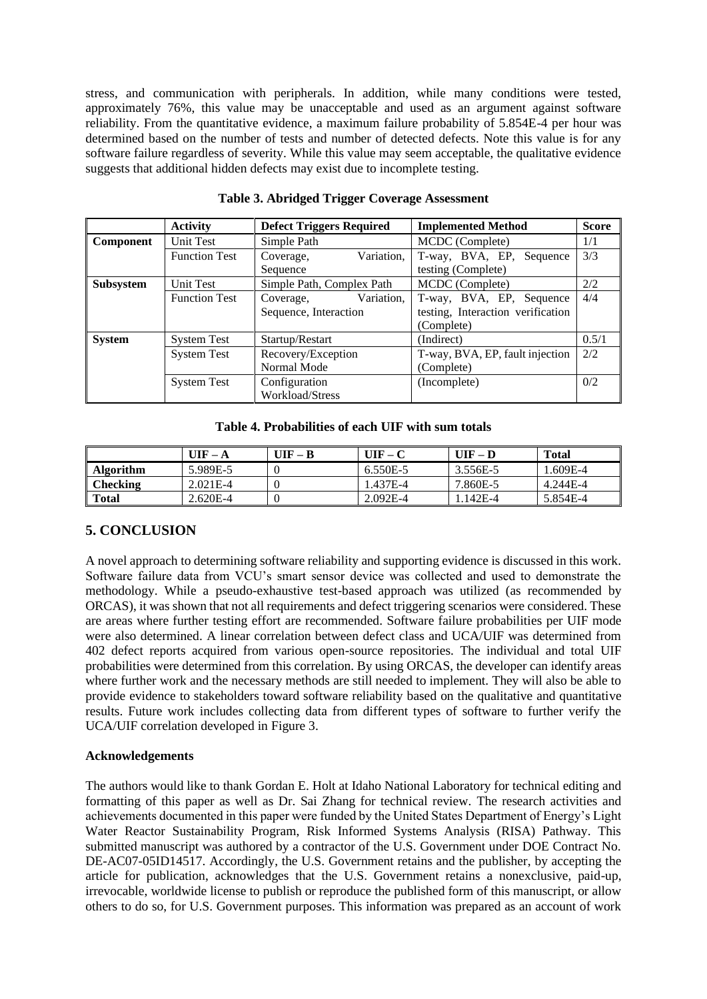stress, and communication with peripherals. In addition, while many conditions were tested, approximately 76%, this value may be unacceptable and used as an argument against software reliability. From the quantitative evidence, a maximum failure probability of 5.854E-4 per hour was determined based on the number of tests and number of detected defects. Note this value is for any software failure regardless of severity. While this value may seem acceptable, the qualitative evidence suggests that additional hidden defects may exist due to incomplete testing.

<span id="page-9-0"></span>

|                  | <b>Activity</b>      | <b>Defect Triggers Required</b> | <b>Implemented Method</b>         | <b>Score</b> |
|------------------|----------------------|---------------------------------|-----------------------------------|--------------|
| <b>Component</b> | Unit Test            | Simple Path                     | MCDC (Complete)                   | 1/1          |
|                  | <b>Function Test</b> | Variation.<br>Coverage,         | T-way, BVA, EP, Sequence          | 3/3          |
|                  |                      | Sequence                        | testing (Complete)                |              |
| Subsystem        | <b>Unit Test</b>     | Simple Path, Complex Path       | MCDC (Complete)                   | 2/2          |
|                  | <b>Function Test</b> | Variation,<br>Coverage,         | T-way, BVA, EP, Sequence          | 4/4          |
|                  |                      | Sequence, Interaction           | testing, Interaction verification |              |
|                  |                      |                                 | (Complete)                        |              |
| <b>System</b>    | <b>System Test</b>   | Startup/Restart                 | (Indirect)                        | 0.5/1        |
|                  | <b>System Test</b>   | Recovery/Exception              | T-way, BVA, EP, fault injection   | 2/2          |
|                  |                      | Normal Mode                     | (Complete)                        |              |
|                  | <b>System Test</b>   | Configuration                   | (Incomplete)                      | 0/2          |
|                  |                      | <b>Workload/Stress</b>          |                                   |              |

**Table 3. Abridged Trigger Coverage Assessment**

**Table 4. Probabilities of each UIF with sum totals**

<span id="page-9-1"></span>

|                  | $UIF - A$  | $UIF - B$ | UIF – C  | $UIF - D$ | <b>Total</b> |
|------------------|------------|-----------|----------|-----------|--------------|
| <b>Algorithm</b> | 5.989E-5   |           | 6.550E-5 | 3.556E-5  | 1.609E-4     |
| <b>Checking</b>  | $2.021E-4$ |           | 1.437E-4 | 7.860E-5  | 4.244E-4     |
| <b>Total</b>     | 2.620E-4   |           | 2.092E-4 | . .142E-4 | 5.854E-4     |

# **5. CONCLUSION**

A novel approach to determining software reliability and supporting evidence is discussed in this work. Software failure data from VCU's smart sensor device was collected and used to demonstrate the methodology. While a pseudo-exhaustive test-based approach was utilized (as recommended by ORCAS), it was shown that not all requirements and defect triggering scenarios were considered. These are areas where further testing effort are recommended. Software failure probabilities per UIF mode were also determined. A linear correlation between defect class and UCA/UIF was determined from 402 defect reports acquired from various open-source repositories. The individual and total UIF probabilities were determined from this correlation. By using ORCAS, the developer can identify areas where further work and the necessary methods are still needed to implement. They will also be able to provide evidence to stakeholders toward software reliability based on the qualitative and quantitative results. Future work includes collecting data from different types of software to further verify the UCA/UIF correlation developed in Figure 3.

### **Acknowledgements**

The authors would like to thank Gordan E. Holt at Idaho National Laboratory for technical editing and formatting of this paper as well as Dr. Sai Zhang for technical review. The research activities and achievements documented in this paper were funded by the United States Department of Energy's Light Water Reactor Sustainability Program, Risk Informed Systems Analysis (RISA) Pathway. This submitted manuscript was authored by a contractor of the U.S. Government under DOE Contract No. DE-AC07-05ID14517. Accordingly, the U.S. Government retains and the publisher, by accepting the article for publication, acknowledges that the U.S. Government retains a nonexclusive, paid-up, irrevocable, worldwide license to publish or reproduce the published form of this manuscript, or allow others to do so, for U.S. Government purposes. This information was prepared as an account of work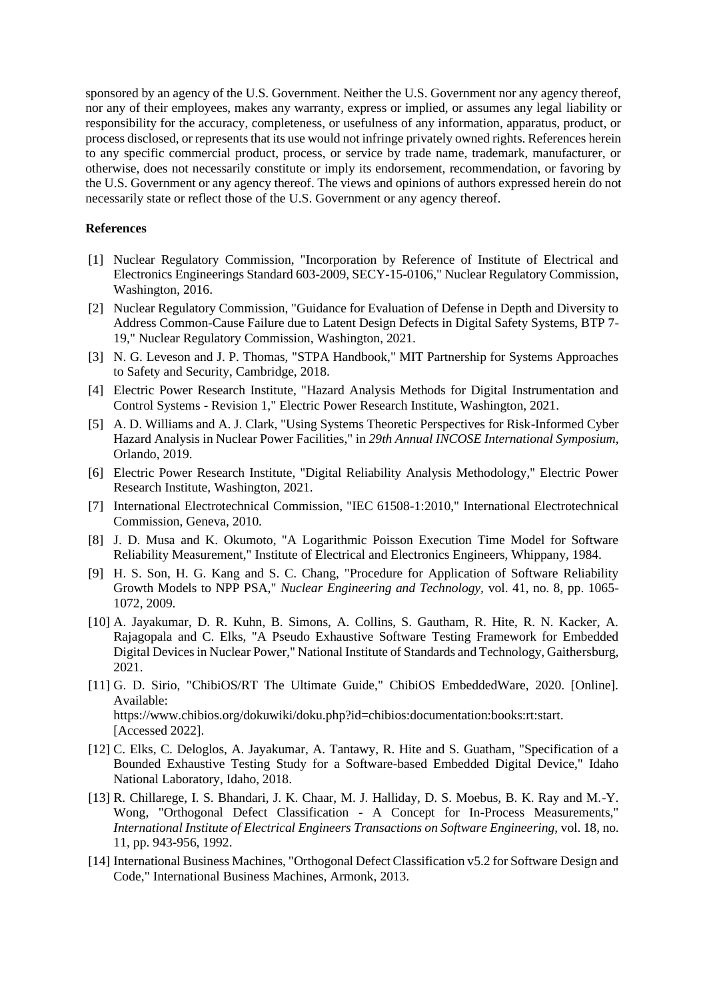sponsored by an agency of the U.S. Government. Neither the U.S. Government nor any agency thereof, nor any of their employees, makes any warranty, express or implied, or assumes any legal liability or responsibility for the accuracy, completeness, or usefulness of any information, apparatus, product, or process disclosed, or represents that its use would not infringe privately owned rights. References herein to any specific commercial product, process, or service by trade name, trademark, manufacturer, or otherwise, does not necessarily constitute or imply its endorsement, recommendation, or favoring by the U.S. Government or any agency thereof. The views and opinions of authors expressed herein do not necessarily state or reflect those of the U.S. Government or any agency thereof.

#### **References**

- [1] Nuclear Regulatory Commission, "Incorporation by Reference of Institute of Electrical and Electronics Engineerings Standard 603-2009, SECY-15-0106," Nuclear Regulatory Commission, Washington, 2016.
- [2] Nuclear Regulatory Commission, "Guidance for Evaluation of Defense in Depth and Diversity to Address Common-Cause Failure due to Latent Design Defects in Digital Safety Systems, BTP 7- 19," Nuclear Regulatory Commission, Washington, 2021.
- [3] N. G. Leveson and J. P. Thomas, "STPA Handbook," MIT Partnership for Systems Approaches to Safety and Security, Cambridge, 2018.
- [4] Electric Power Research Institute, "Hazard Analysis Methods for Digital Instrumentation and Control Systems - Revision 1," Electric Power Research Institute, Washington, 2021.
- [5] A. D. Williams and A. J. Clark, "Using Systems Theoretic Perspectives for Risk-Informed Cyber Hazard Analysis in Nuclear Power Facilities," in *29th Annual INCOSE International Symposium*, Orlando, 2019.
- [6] Electric Power Research Institute, "Digital Reliability Analysis Methodology," Electric Power Research Institute, Washington, 2021.
- [7] International Electrotechnical Commission, "IEC 61508-1:2010," International Electrotechnical Commission, Geneva, 2010.
- [8] J. D. Musa and K. Okumoto, "A Logarithmic Poisson Execution Time Model for Software Reliability Measurement," Institute of Electrical and Electronics Engineers, Whippany, 1984.
- [9] H. S. Son, H. G. Kang and S. C. Chang, "Procedure for Application of Software Reliability Growth Models to NPP PSA," *Nuclear Engineering and Technology,* vol. 41, no. 8, pp. 1065- 1072, 2009.
- [10] A. Jayakumar, D. R. Kuhn, B. Simons, A. Collins, S. Gautham, R. Hite, R. N. Kacker, A. Rajagopala and C. Elks, "A Pseudo Exhaustive Software Testing Framework for Embedded Digital Devices in Nuclear Power," National Institute of Standards and Technology, Gaithersburg, 2021.
- [11] G. D. Sirio, "ChibiOS/RT The Ultimate Guide," ChibiOS EmbeddedWare, 2020. [Online]. Available: https://www.chibios.org/dokuwiki/doku.php?id=chibios:documentation:books:rt:start. [Accessed 2022].
- [12] C. Elks, C. Deloglos, A. Jayakumar, A. Tantawy, R. Hite and S. Guatham, "Specification of a Bounded Exhaustive Testing Study for a Software-based Embedded Digital Device," Idaho National Laboratory, Idaho, 2018.
- [13] R. Chillarege, I. S. Bhandari, J. K. Chaar, M. J. Halliday, D. S. Moebus, B. K. Ray and M.-Y. Wong, "Orthogonal Defect Classification - A Concept for In-Process Measurements," *International Institute of Electrical Engineers Transactions on Software Engineering,* vol. 18, no. 11, pp. 943-956, 1992.
- [14] International Business Machines, "Orthogonal Defect Classification v5.2 for Software Design and Code," International Business Machines, Armonk, 2013.